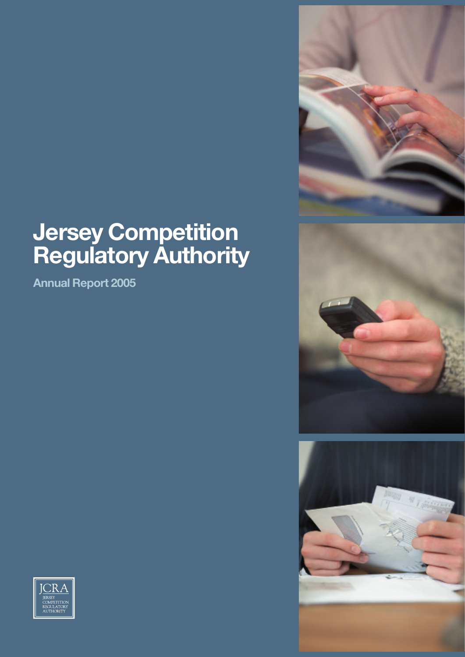### **Jersey Competition Regulatory Authority**

**Annual Report 2005**







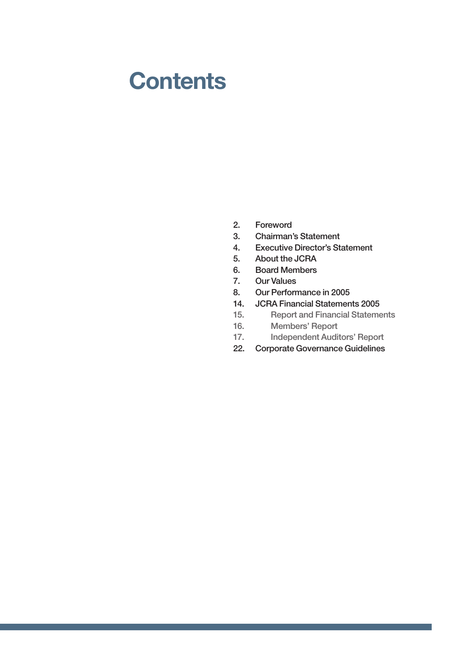### **Contents**

- 2. Foreword
- 3. Chairman's Statement
- 4. Executive Director's Statement
- 5. About the JCRA
- 6. Board Members
- 7. Our Values
- 8. Our Performance in 2005
- 14. JCRA Financial Statements 2005
- 15. Report and Financial Statements
- 16. Members' Report
- 17. Independent Auditors' Report
- 22. Corporate Governance Guidelines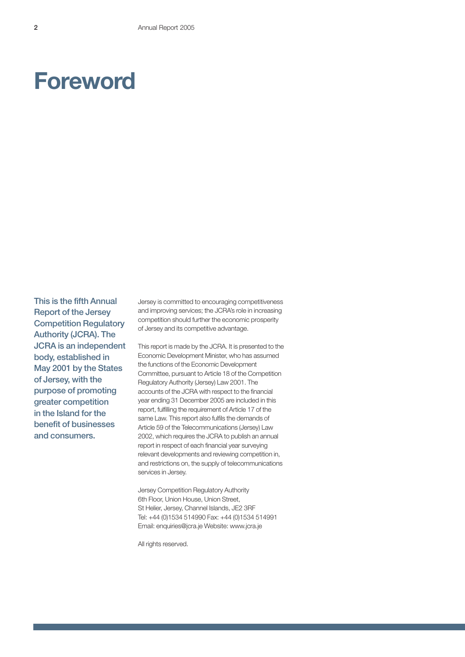### **Foreword**

This is the fifth Annual Report of the Jersey Competition Regulatory Authority (JCRA). The JCRA is an independent body, established in May 2001 by the States of Jersey, with the purpose of promoting greater competition in the Island for the benefit of businesses and consumers.

Jersey is committed to encouraging competitiveness and improving services; the JCRA's role in increasing competition should further the economic prosperity of Jersey and its competitive advantage.

This report is made by the JCRA. It is presented to the Economic Development Minister, who has assumed the functions of the Economic Development Committee, pursuant to Article 18 of the Competition Regulatory Authority (Jersey) Law 2001. The accounts of the JCRA with respect to the financial year ending 31 December 2005 are included in this report, fulfilling the requirement of Article 17 of the same Law. This report also fulfils the demands of Article 59 of the Telecommunications (Jersey) Law 2002, which requires the JCRA to publish an annual report in respect of each financial year surveying relevant developments and reviewing competition in, and restrictions on, the supply of telecommunications services in Jersey.

Jersey Competition Regulatory Authority 6th Floor, Union House, Union Street, St Helier, Jersey, Channel Islands, JE2 3RF Tel: +44 (0)1534 514990 Fax: +44 (0)1534 514991 Email: enquiries@jcra.je Website: www.jcra.je

All rights reserved.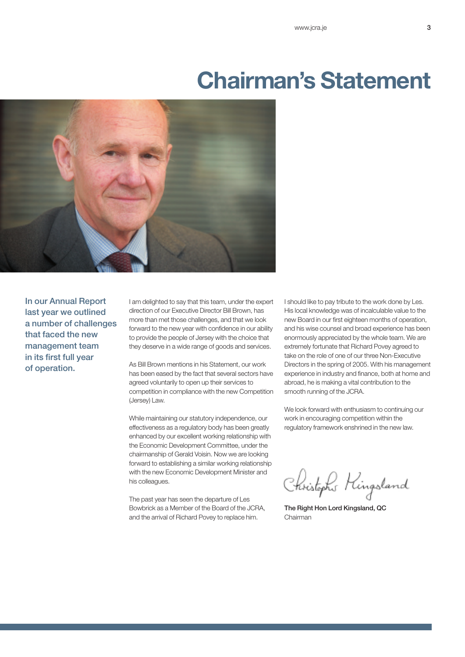### **Chairman's Statement**



In our Annual Report last year we outlined a number of challenges that faced the new management team in its first full year of operation.

I am delighted to say that this team, under the expert direction of our Executive Director Bill Brown, has more than met those challenges, and that we look forward to the new year with confidence in our ability to provide the people of Jersey with the choice that they deserve in a wide range of goods and services.

As Bill Brown mentions in his Statement, our work has been eased by the fact that several sectors have agreed voluntarily to open up their services to competition in compliance with the new Competition (Jersey) Law.

While maintaining our statutory independence, our effectiveness as a regulatory body has been greatly enhanced by our excellent working relationship with the Economic Development Committee, under the chairmanship of Gerald Voisin. Now we are looking forward to establishing a similar working relationship with the new Economic Development Minister and his colleagues.

The past year has seen the departure of Les Bowbrick as a Member of the Board of the JCRA, and the arrival of Richard Povey to replace him.

I should like to pay tribute to the work done by Les. His local knowledge was of incalculable value to the new Board in our first eighteen months of operation, and his wise counsel and broad experience has been enormously appreciated by the whole team. We are extremely fortunate that Richard Povey agreed to take on the role of one of our three Non-Executive Directors in the spring of 2005. With his management experience in industry and finance, both at home and abroad, he is making a vital contribution to the smooth running of the JCRA.

We look forward with enthusiasm to continuing our work in encouraging competition within the regulatory framework enshrined in the new law.

Christophs Hingsland

The Right Hon Lord Kingsland, QC Chairman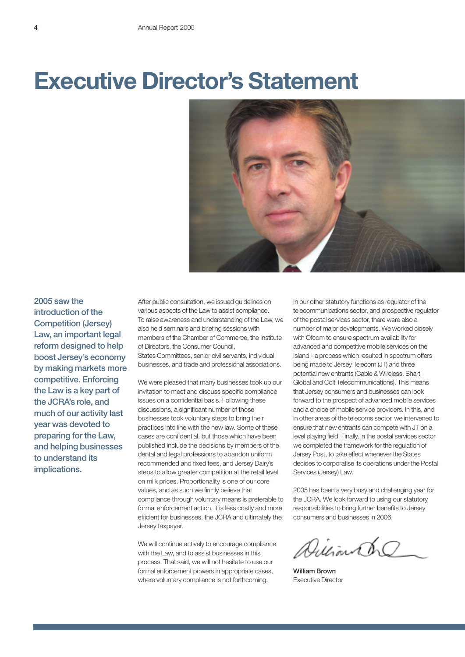### **Executive Director's Statement**



2005 saw the introduction of the Competition (Jersey) Law, an important legal reform designed to help boost Jersey's economy by making markets more competitive. Enforcing the Law is a key part of the JCRA's role, and much of our activity last year was devoted to preparing for the Law, and helping businesses to understand its implications.

After public consultation, we issued guidelines on various aspects of the Law to assist compliance. To raise awareness and understanding of the Law, we also held seminars and briefing sessions with members of the Chamber of Commerce, the Institute of Directors, the Consumer Council, States Committees, senior civil servants, individual businesses, and trade and professional associations.

We were pleased that many businesses took up our invitation to meet and discuss specific compliance issues on a confidential basis. Following these discussions, a significant number of those businesses took voluntary steps to bring their practices into line with the new law. Some of these cases are confidential, but those which have been published include the decisions by members of the dental and legal professions to abandon uniform recommended and fixed fees, and Jersey Dairy's steps to allow greater competition at the retail level on milk prices. Proportionality is one of our core values, and as such we firmly believe that compliance through voluntary means is preferable to formal enforcement action. It is less costly and more efficient for businesses, the JCRA and ultimately the Jersey taxpayer.

We will continue actively to encourage compliance with the Law, and to assist businesses in this process. That said, we will not hesitate to use our formal enforcement powers in appropriate cases, where voluntary compliance is not forthcoming.

In our other statutory functions as regulator of the telecommunications sector, and prospective regulator of the postal services sector, there were also a number of major developments. We worked closely with Ofcom to ensure spectrum availability for advanced and competitive mobile services on the Island - a process which resulted in spectrum offers being made to Jersey Telecom (JT) and three potential new entrants (Cable & Wireless, Bharti Global and Colt Telecommunications). This means that Jersey consumers and businesses can look forward to the prospect of advanced mobile services and a choice of mobile service providers. In this, and in other areas of the telecoms sector, we intervened to ensure that new entrants can compete with JT on a level playing field. Finally, in the postal services sector we completed the framework for the regulation of Jersey Post, to take effect whenever the States decides to corporatise its operations under the Postal Services (Jersey) Law.

2005 has been a very busy and challenging year for the JCRA. We look forward to using our statutory responsibilities to bring further benefits to Jersey consumers and businesses in 2006.

Dilliando

William Brown Executive Director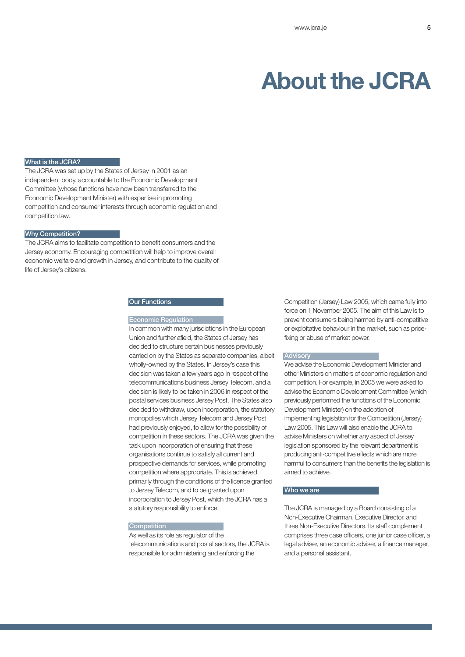### **About the JCRA**

### What is the JCRA?

The JCRA was set up by the States of Jersey in 2001 as an independent body, accountable to the Economic Development Committee (whose functions have now been transferred to the Economic Development Minister) with expertise in promoting competition and consumer interests through economic regulation and competition law.

### Why Competition?

The JCRA aims to facilitate competition to benefit consumers and the Jersey economy. Encouraging competition will help to improve overall economic welfare and growth in Jersey, and contribute to the quality of life of Jersey's citizens.

#### **Our Functions**

#### Economic Regulation

In common with many jurisdictions in the European Union and further afield, the States of Jersey has decided to structure certain businesses previously carried on by the States as separate companies, albeit wholly-owned by the States. In Jersey's case this decision was taken a few years ago in respect of the telecommunications business Jersey Telecom, and a decision is likely to be taken in 2006 in respect of the postal services business Jersey Post. The States also decided to withdraw, upon incorporation, the statutory monopolies which Jersey Telecom and Jersey Post had previously enjoyed, to allow for the possibility of competition in these sectors. The JCRA was given the task upon incorporation of ensuring that these organisations continue to satisfy all current and prospective demands for services, while promoting competition where appropriate. This is achieved primarily through the conditions of the licence granted to Jersey Telecom, and to be granted upon incorporation to Jersey Post, which the JCRA has a statutory responsibility to enforce.

### **Competition**

As well as its role as regulator of the telecommunications and postal sectors, the JCRA is responsible for administering and enforcing the

Competition (Jersey) Law 2005, which came fully into force on 1 November 2005. The aim of this Law is to prevent consumers being harmed by anti-competitive or exploitative behaviour in the market, such as pricefixing or abuse of market power.

#### **Advisory**

We advise the Economic Development Minister and other Ministers on matters of economic regulation and competition. For example, in 2005 we were asked to advise the Economic Development Committee (which previously performed the functions of the Economic Development Minister) on the adoption of implementing legislation for the Competition (Jersey) Law 2005. This Law will also enable the JCRA to advise Ministers on whether any aspect of Jersey legislation sponsored by the relevant department is producing anti-competitive effects which are more harmful to consumers than the benefits the legislation is aimed to achieve.

### Who we are

The JCRA is managed by a Board consisting of a Non-Executive Chairman, Executive Director, and three Non-Executive Directors. Its staff complement comprises three case officers, one junior case officer, a legal adviser, an economic adviser, a finance manager, and a personal assistant.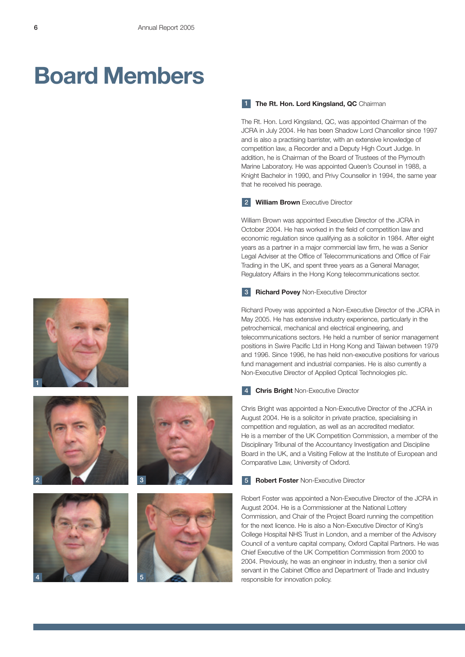## **Board Members**

### 1 The Rt. Hon. Lord Kingsland, QC Chairman

The Rt. Hon. Lord Kingsland, QC, was appointed Chairman of the JCRA in July 2004. He has been Shadow Lord Chancellor since 1997 and is also a practising barrister, with an extensive knowledge of competition law, a Recorder and a Deputy High Court Judge. In addition, he is Chairman of the Board of Trustees of the Plymouth Marine Laboratory. He was appointed Queen's Counsel in 1988, a Knight Bachelor in 1990, and Privy Counsellor in 1994, the same year that he received his peerage.

### 2 **William Brown** Executive Director

William Brown was appointed Executive Director of the JCRA in October 2004. He has worked in the field of competition law and economic regulation since qualifying as a solicitor in 1984. After eight years as a partner in a major commercial law firm, he was a Senior Legal Adviser at the Office of Telecommunications and Office of Fair Trading in the UK, and spent three years as a General Manager, Regulatory Affairs in the Hong Kong telecommunications sector.

### **Richard Povey Non-Executive Director**

Richard Povey was appointed a Non-Executive Director of the JCRA in May 2005. He has extensive industry experience, particularly in the petrochemical, mechanical and electrical engineering, and telecommunications sectors. He held a number of senior management positions in Swire Pacific Ltd in Hong Kong and Taiwan between 1979 and 1996. Since 1996, he has held non-executive positions for various fund management and industrial companies. He is also currently a Non-Executive Director of Applied Optical Technologies plc.

#### **Chris Bright** Non-Executive Director 4

Chris Bright was appointed a Non-Executive Director of the JCRA in August 2004. He is a solicitor in private practice, specialising in competition and regulation, as well as an accredited mediator. He is a member of the UK Competition Commission, a member of the Disciplinary Tribunal of the Accountancy Investigation and Discipline Board in the UK, and a Visiting Fellow at the Institute of European and Comparative Law, University of Oxford.

#### **Robert Foster** Non-Executive Director 5

Robert Foster was appointed a Non-Executive Director of the JCRA in August 2004. He is a Commissioner at the National Lottery Commission, and Chair of the Project Board running the competition for the next licence. He is also a Non-Executive Director of King's College Hospital NHS Trust in London, and a member of the Advisory Council of a venture capital company, Oxford Capital Partners. He was Chief Executive of the UK Competition Commission from 2000 to 2004. Previously, he was an engineer in industry, then a senior civil servant in the Cabinet Office and Department of Trade and Industry responsible for innovation policy.







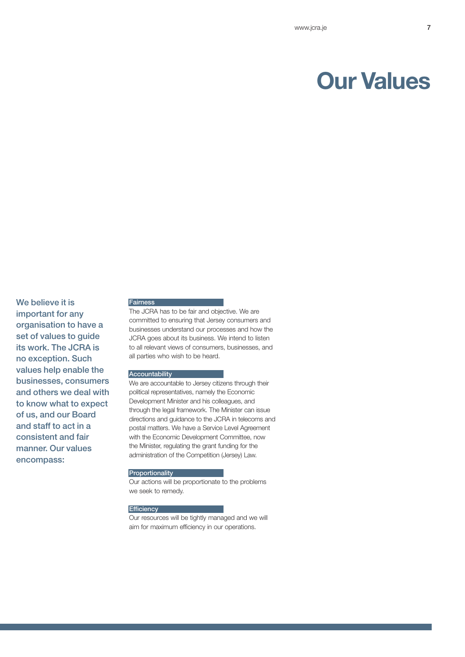### **Our Values**

We believe it is important for any organisation to have a set of values to guide its work. The JCRA is no exception. Such values help enable the businesses, consumers and others we deal with to know what to expect of us, and our Board and staff to act in a consistent and fair manner. Our values encompass:

### **Fairness**

The JCRA has to be fair and objective. We are committed to ensuring that Jersey consumers and businesses understand our processes and how the JCRA goes about its business. We intend to listen to all relevant views of consumers, businesses, and all parties who wish to be heard.

### **Accountability**

We are accountable to Jersey citizens through their political representatives, namely the Economic Development Minister and his colleagues, and through the legal framework. The Minister can issue directions and guidance to the JCRA in telecoms and postal matters. We have a Service Level Agreement with the Economic Development Committee, now the Minister, regulating the grant funding for the administration of the Competition (Jersey) Law.

### **Proportionality**

Our actions will be proportionate to the problems we seek to remedy.

### **Efficiency**

Our resources will be tightly managed and we will aim for maximum efficiency in our operations.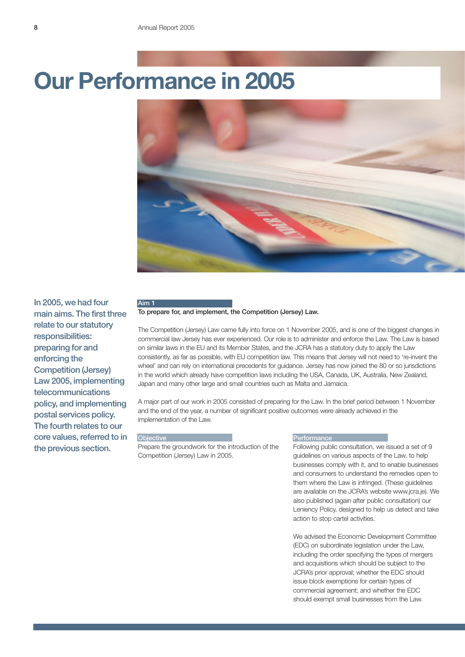

In 2005, we had four main aims. The first three relate to our statutory responsibilities: preparing for and enforcing the Competition (Jersey) Law 2005, implementing telecommunications policy, and implementing postal services policy. The fourth relates to our core values, referred to in the previous section.

### To prepare for, and implement, the Competition (Jersey) Law.

The Competition (Jersey) Law came fully into force on 1 November 2005, and is one of the biggest changes in commercial law Jersey has ever experienced. Our role is to administer and enforce the Law. The Law is based on similar laws in the EU and its Member States, and the JCRA has a statutory duty to apply the Law consistently, as far as possible, with EU competition law. This means that Jersey will not need to 're-invent the wheel' and can rely on international precedents for guidance. Jersey has now joined the 80 or so jurisdictions in the world which already have competition laws including the USA, Canada, UK, Australia, New Zealand, Japan and many other large and small countries such as Malta and Jamaica.

A major part of our work in 2005 consisted of preparing for the Law. In the brief period between 1 November and the end of the year, a number of significant positive outcomes were already achieved in the implementation of the Law.

#### **Objective**

Aim 1

Prepare the groundwork for the introduction of the Competition (Jersey) Law in 2005.

### **Performance**

Following public consultation, we issued a set of 9 guidelines on various aspects of the Law, to help businesses comply with it, and to enable businesses and consumers to understand the remedies open to them where the Law is infringed. (These guidelines are available on the JCRA's website www.jcra.je). We also published (again after public consultation) our Leniency Policy, designed to help us detect and take action to stop cartel activities.

We advised the Economic Development Committee (EDC) on subordinate legislation under the Law, including the order specifying the types of mergers and acquisitions which should be subject to the JCRA's prior approval; whether the EDC should issue block exemptions for certain types of commercial agreement; and whether the EDC should exempt small businesses from the Law.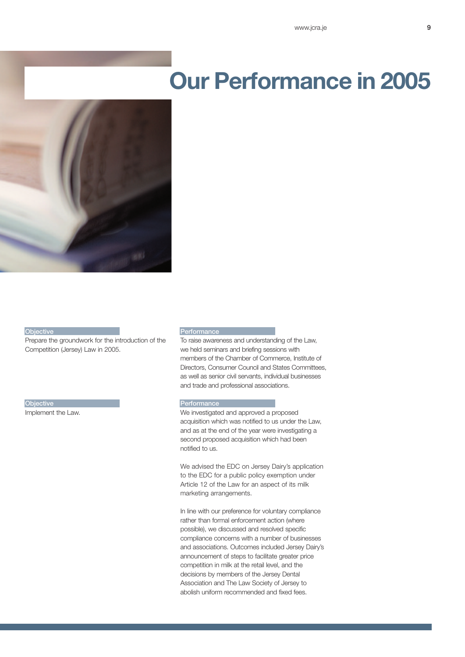

#### **Objective**

Prepare the groundwork for the introduction of the Competition (Jersey) Law in 2005.

**Objective** 

Implement the Law.

#### **Performance**

To raise awareness and understanding of the Law, we held seminars and briefing sessions with members of the Chamber of Commerce, Institute of Directors, Consumer Council and States Committees, as well as senior civil servants, individual businesses and trade and professional associations.

### **Performance**

We investigated and approved a proposed acquisition which was notified to us under the Law, and as at the end of the year were investigating a second proposed acquisition which had been notified to us.

We advised the EDC on Jersey Dairy's application to the EDC for a public policy exemption under Article 12 of the Law for an aspect of its milk marketing arrangements.

In line with our preference for voluntary compliance rather than formal enforcement action (where possible), we discussed and resolved specific compliance concerns with a number of businesses and associations. Outcomes included Jersey Dairy's announcement of steps to facilitate greater price competition in milk at the retail level, and the decisions by members of the Jersey Dental Association and The Law Society of Jersey to abolish uniform recommended and fixed fees.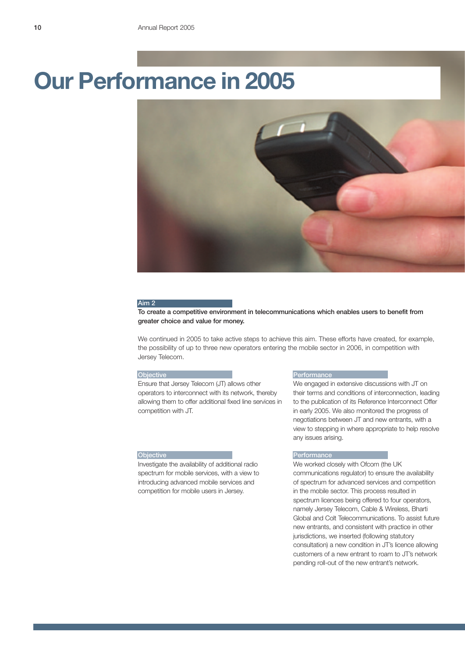

#### Aim 2

To create a competitive environment in telecommunications which enables users to benefit from greater choice and value for money.

We continued in 2005 to take active steps to achieve this aim. These efforts have created, for example, the possibility of up to three new operators entering the mobile sector in 2006, in competition with Jersey Telecom.

### **Objective**

Ensure that Jersey Telecom (JT) allows other operators to interconnect with its network, thereby allowing them to offer additional fixed line services in competition with JT.

### **Objective**

Investigate the availability of additional radio spectrum for mobile services, with a view to introducing advanced mobile services and competition for mobile users in Jersey.

#### Performance

We engaged in extensive discussions with JT on their terms and conditions of interconnection, leading to the publication of its Reference Interconnect Offer in early 2005. We also monitored the progress of negotiations between JT and new entrants, with a view to stepping in where appropriate to help resolve any issues arising.

### **Performance**

We worked closely with Ofcom (the UK communications regulator) to ensure the availability of spectrum for advanced services and competition in the mobile sector. This process resulted in spectrum licences being offered to four operators, namely Jersey Telecom, Cable & Wireless, Bharti Global and Colt Telecommunications. To assist future new entrants, and consistent with practice in other jurisdictions, we inserted (following statutory consultation) a new condition in JT's licence allowing customers of a new entrant to roam to JT's network pending roll-out of the new entrant's network.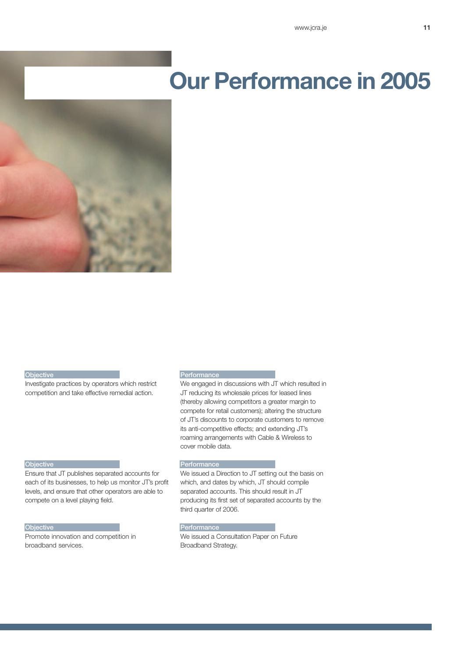

#### **Objective**

Investigate practices by operators which restrict competition and take effective remedial action.

### **Performance**

We engaged in discussions with JT which resulted in JT reducing its wholesale prices for leased lines (thereby allowing competitors a greater margin to compete for retail customers); altering the structure of JT's discounts to corporate customers to remove its anti-competitive effects; and extending JT's roaming arrangements with Cable & Wireless to cover mobile data.

### **Objective**

Ensure that JT publishes separated accounts for each of its businesses, to help us monitor JT's profit levels, and ensure that other operators are able to compete on a level playing field.

### **Objective**

Promote innovation and competition in broadband services.

### **Performance**

We issued a Direction to JT setting out the basis on which, and dates by which, JT should compile separated accounts. This should result in JT producing its first set of separated accounts by the third quarter of 2006.

### Performance

We issued a Consultation Paper on Future Broadband Strategy.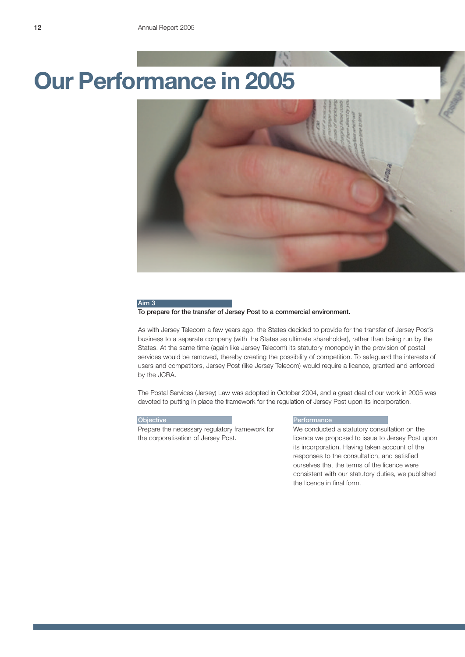

#### Aim 3

### To prepare for the transfer of Jersey Post to a commercial environment.

As with Jersey Telecom a few years ago, the States decided to provide for the transfer of Jersey Post's business to a separate company (with the States as ultimate shareholder), rather than being run by the States. At the same time (again like Jersey Telecom) its statutory monopoly in the provision of postal services would be removed, thereby creating the possibility of competition. To safeguard the interests of users and competitors, Jersey Post (like Jersey Telecom) would require a licence, granted and enforced by the JCRA.

The Postal Services (Jersey) Law was adopted in October 2004, and a great deal of our work in 2005 was devoted to putting in place the framework for the regulation of Jersey Post upon its incorporation.

#### **Objective**

Prepare the necessary regulatory framework for the corporatisation of Jersey Post.

### **Performance**

We conducted a statutory consultation on the licence we proposed to issue to Jersey Post upon its incorporation. Having taken account of the responses to the consultation, and satisfied ourselves that the terms of the licence were consistent with our statutory duties, we published the licence in final form.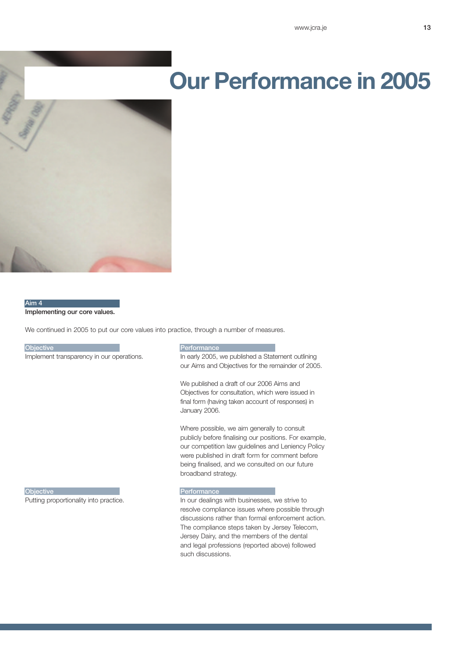

### Aim 4 Implementing our core values.

We continued in 2005 to put our core values into practice, through a number of measures.

**Objective** 

Implement transparency in our operations.

### Performance

In early 2005, we published a Statement outlining our Aims and Objectives for the remainder of 2005.

We published a draft of our 2006 Aims and Objectives for consultation, which were issued in final form (having taken account of responses) in January 2006.

Where possible, we aim generally to consult publicly before finalising our positions. For example, our competition law guidelines and Leniency Policy were published in draft form for comment before being finalised, and we consulted on our future broadband strategy.

Objective Putting proportionality into practice. **Performance** 

In our dealings with businesses, we strive to resolve compliance issues where possible through discussions rather than formal enforcement action. The compliance steps taken by Jersey Telecom, Jersey Dairy, and the members of the dental and legal professions (reported above) followed such discussions.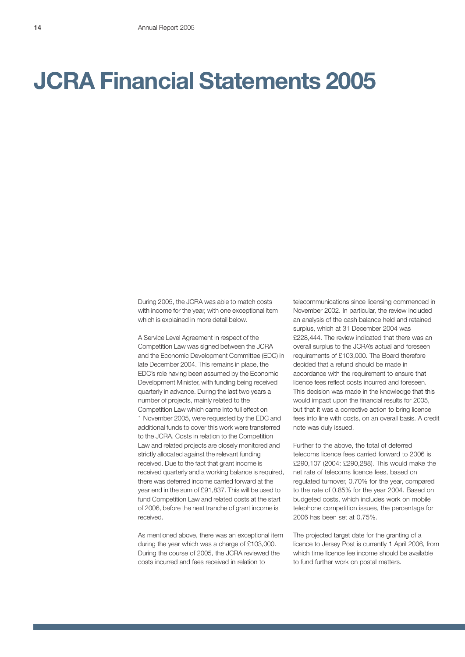## **JCRA Financial Statements 2005**

During 2005, the JCRA was able to match costs with income for the year, with one exceptional item which is explained in more detail below.

A Service Level Agreement in respect of the Competition Law was signed between the JCRA and the Economic Development Committee (EDC) in late December 2004. This remains in place, the EDC's role having been assumed by the Economic Development Minister, with funding being received quarterly in advance. During the last two years a number of projects, mainly related to the Competition Law which came into full effect on 1 November 2005, were requested by the EDC and additional funds to cover this work were transferred to the JCRA. Costs in relation to the Competition Law and related projects are closely monitored and strictly allocated against the relevant funding received. Due to the fact that grant income is received quarterly and a working balance is required, there was deferred income carried forward at the year end in the sum of £91,837. This will be used to fund Competition Law and related costs at the start of 2006, before the next tranche of grant income is received.

As mentioned above, there was an exceptional item during the year which was a charge of £103,000. During the course of 2005, the JCRA reviewed the costs incurred and fees received in relation to

telecommunications since licensing commenced in November 2002. In particular, the review included an analysis of the cash balance held and retained surplus, which at 31 December 2004 was £228,444. The review indicated that there was an overall surplus to the JCRA's actual and foreseen requirements of £103,000. The Board therefore decided that a refund should be made in accordance with the requirement to ensure that licence fees reflect costs incurred and foreseen. This decision was made in the knowledge that this would impact upon the financial results for 2005, but that it was a corrective action to bring licence fees into line with costs, on an overall basis. A credit note was duly issued.

Further to the above, the total of deferred telecoms licence fees carried forward to 2006 is £290,107 (2004: £290,288). This would make the net rate of telecoms licence fees, based on regulated turnover, 0.70% for the year, compared to the rate of 0.85% for the year 2004. Based on budgeted costs, which includes work on mobile telephone competition issues, the percentage for 2006 has been set at 0.75%.

The projected target date for the granting of a licence to Jersey Post is currently 1 April 2006, from which time licence fee income should be available to fund further work on postal matters.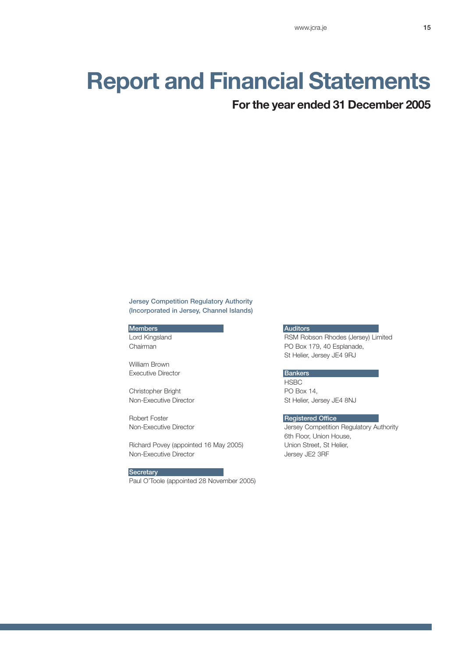### **Report and Financial Statements**

### **For the year ended 31 December 2005**

### Jersey Competition Regulatory Authority (Incorporated in Jersey, Channel Islands)

Members Lord Kingsland Chairman

William Brown Executive Director

Christopher Bright Non-Executive Director

Robert Foster Non-Executive Director

Richard Povey (appointed 16 May 2005) Non-Executive Director

**Secretary** Paul O'Toole (appointed 28 November 2005)

### **Auditors**

RSM Robson Rhodes (Jersey) Limited PO Box 179, 40 Esplanade, St Helier, Jersey JE4 9RJ

### **Bankers**

**HSBC** PO Box 14, St Helier, Jersey JE4 8NJ

### Registered Office

Jersey Competition Regulatory Authority 6th Floor, Union House, Union Street, St Helier, Jersey JE2 3RF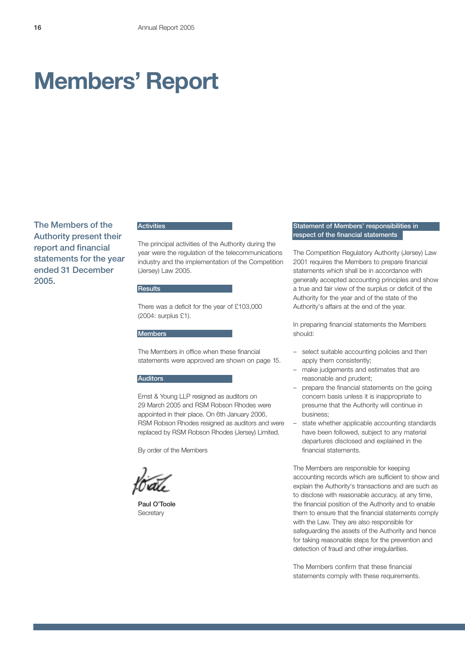## **Members' Report**

The Members of the Authority present their report and financial statements for the year ended 31 December 2005.

### **Activities**

The principal activities of the Authority during the year were the regulation of the telecommunications industry and the implementation of the Competition (Jersey) Law 2005.

### **Results**

There was a deficit for the year of £103,000 (2004: surplus £1).

### **Members**

The Members in office when these financial statements were approved are shown on page 15.

### **Auditors**

Ernst & Young LLP resigned as auditors on 29 March 2005 and RSM Robson Rhodes were appointed in their place. On 6th January 2006, RSM Robson Rhodes resigned as auditors and were replaced by RSM Robson Rhodes (Jersey) Limited.

By order of the Members

Paul O'Toole **Secretary** 

### Statement of Members' responsibilities in respect of the financial statements

The Competition Regulatory Authority (Jersey) Law 2001 requires the Members to prepare financial statements which shall be in accordance with generally accepted accounting principles and show a true and fair view of the surplus or deficit of the Authority for the year and of the state of the Authority's affairs at the end of the year.

In preparing financial statements the Members should:

- select suitable accounting policies and then apply them consistently;
- make judgements and estimates that are reasonable and prudent;
- prepare the financial statements on the going concern basis unless it is inappropriate to presume that the Authority will continue in business;
- state whether applicable accounting standards have been followed, subject to any material departures disclosed and explained in the financial statements.

The Members are responsible for keeping accounting records which are sufficient to show and explain the Authority's transactions and are such as to disclose with reasonable accuracy, at any time, the financial position of the Authority and to enable them to ensure that the financial statements comply with the Law. They are also responsible for safeguarding the assets of the Authority and hence for taking reasonable steps for the prevention and detection of fraud and other irregularities.

The Members confirm that these financial statements comply with these requirements.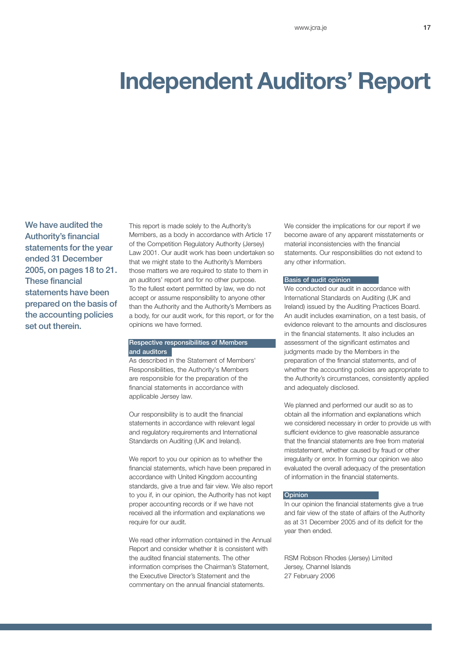### **Independent Auditors' Report**

We have audited the Authority's financial statements for the year ended 31 December 2005, on pages 18 to 21. These financial statements have been prepared on the basis of the accounting policies set out therein.

This report is made solely to the Authority's Members, as a body in accordance with Article 17 of the Competition Regulatory Authority (Jersey) Law 2001. Our audit work has been undertaken so that we might state to the Authority's Members those matters we are required to state to them in an auditors' report and for no other purpose. To the fullest extent permitted by law, we do not accept or assume responsibility to anyone other than the Authority and the Authority's Members as a body, for our audit work, for this report, or for the opinions we have formed.

### Respective responsibilities of Members and auditors

As described in the Statement of Members' Responsibilities, the Authority's Members are responsible for the preparation of the financial statements in accordance with applicable Jersey law.

Our responsibility is to audit the financial statements in accordance with relevant legal and regulatory requirements and International Standards on Auditing (UK and Ireland).

We report to you our opinion as to whether the financial statements, which have been prepared in accordance with United Kingdom accounting standards, give a true and fair view. We also report to you if, in our opinion, the Authority has not kept proper accounting records or if we have not received all the information and explanations we require for our audit.

We read other information contained in the Annual Report and consider whether it is consistent with the audited financial statements. The other information comprises the Chairman's Statement, the Executive Director's Statement and the commentary on the annual financial statements.

We consider the implications for our report if we become aware of any apparent misstatements or material inconsistencies with the financial statements. Our responsibilities do not extend to any other information.

### Basis of audit opinion

We conducted our audit in accordance with International Standards on Auditing (UK and Ireland) issued by the Auditing Practices Board. An audit includes examination, on a test basis, of evidence relevant to the amounts and disclosures in the financial statements. It also includes an assessment of the significant estimates and judgments made by the Members in the preparation of the financial statements, and of whether the accounting policies are appropriate to the Authority's circumstances, consistently applied and adequately disclosed.

We planned and performed our audit so as to obtain all the information and explanations which we considered necessary in order to provide us with sufficient evidence to give reasonable assurance that the financial statements are free from material misstatement, whether caused by fraud or other irregularity or error. In forming our opinion we also evaluated the overall adequacy of the presentation of information in the financial statements.

#### **Opinion**

In our opinion the financial statements give a true and fair view of the state of affairs of the Authority as at 31 December 2005 and of its deficit for the year then ended.

RSM Robson Rhodes (Jersey) Limited Jersey, Channel Islands 27 February 2006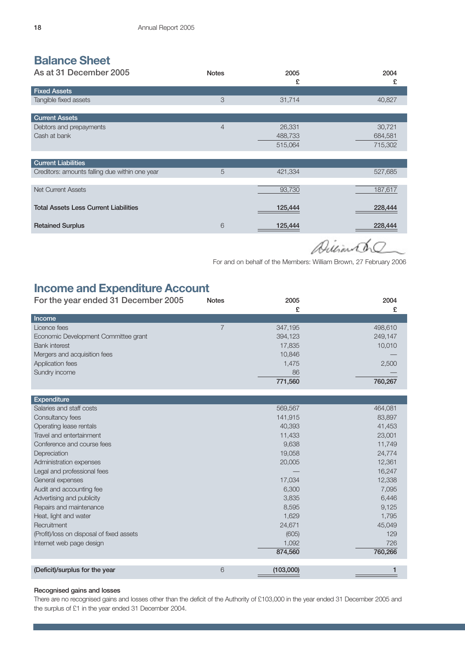### **Balance Sheet**

| As at 31 December 2005                         | <b>Notes</b>   | 2005    | 2004          |
|------------------------------------------------|----------------|---------|---------------|
|                                                |                | £       | £             |
| <b>Fixed Assets</b>                            |                |         |               |
| Tangible fixed assets                          | 3              | 31,714  | 40,827        |
|                                                |                |         |               |
| <b>Current Assets</b>                          |                |         |               |
| Debtors and prepayments                        | $\overline{4}$ | 26,331  | 30,721        |
| Cash at bank                                   |                | 488,733 | 684,581       |
|                                                |                | 515,064 | 715,302       |
|                                                |                |         |               |
| <b>Current Liabilities</b>                     |                |         |               |
| Creditors: amounts falling due within one year | 5              | 421,334 | 527,685       |
|                                                |                |         |               |
| <b>Net Current Assets</b>                      |                | 93,730  | 187,617       |
|                                                |                |         |               |
| <b>Total Assets Less Current Liabilities</b>   |                | 125,444 | 228,444       |
|                                                |                |         |               |
| <b>Retained Surplus</b>                        | 6              | 125,444 | 228,444       |
|                                                |                |         | $\rightarrow$ |

Duliante

For and on behalf of the Members: William Brown, 27 February 2006

### **Income and Expenditure Account**

| For the year ended 31 December 2005  | <b>Notes</b> | 2005    | 2004    |
|--------------------------------------|--------------|---------|---------|
|                                      |              | £       | £       |
| Income                               |              |         |         |
| Licence fees                         |              | 347.195 | 498,610 |
| Economic Development Committee grant |              | 394,123 | 249,147 |
| <b>Bank interest</b>                 |              | 17,835  | 10,010  |
| Mergers and acquisition fees         |              | 10,846  |         |
| <b>Application fees</b>              |              | 1.475   | 2,500   |
| Sundry income                        |              | 86      |         |
|                                      |              | 771,560 | 760,267 |

| <b>Expenditure</b>                        |                |         |
|-------------------------------------------|----------------|---------|
| Salaries and staff costs                  | 569,567        | 464,081 |
| Consultancy fees                          | 141,915        | 83,897  |
| Operating lease rentals                   | 40,393         | 41,453  |
| Travel and entertainment                  | 11,433         | 23,001  |
| Conference and course fees                | 9,638          | 11,749  |
| Depreciation                              | 19,058         | 24,774  |
| Administration expenses                   | 20,005         | 12,361  |
| Legal and professional fees               |                | 16,247  |
| General expenses                          | 17,034         | 12,338  |
| Audit and accounting fee                  | 6,300          | 7,095   |
| Advertising and publicity                 | 3,835          | 6,446   |
| Repairs and maintenance                   | 8,595          | 9,125   |
| Heat, light and water                     | 1,629          | 1,795   |
| Recruitment                               | 24,671         | 45,049  |
| (Profit)/loss on disposal of fixed assets | (605)          | 129     |
| Internet web page design                  | 1,092          | 726     |
|                                           | 874,560        | 760,266 |
|                                           |                |         |
| (Deficit)/surplus for the year            | 6<br>(103,000) |         |

### Recognised gains and losses

There are no recognised gains and losses other than the deficit of the Authority of £103,000 in the year ended 31 December 2005 and the surplus of £1 in the year ended 31 December 2004.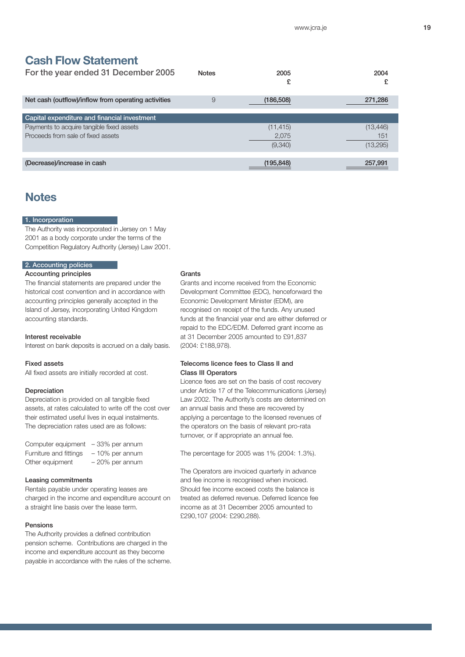### **Cash Flow Statement**

| <b>Notes</b> | 2005       | 2004<br>£ |
|--------------|------------|-----------|
| 9            | (186, 508) | 271,286   |
|              |            |           |
|              |            |           |
|              | (11, 415)  | (13,446)  |
|              | 2,075      | 151       |
|              | (9,340)    | (13,295)  |
|              |            |           |
|              | (195, 848) | 257,991   |
|              |            |           |

### **Notes**

### 1. Incorporation

The Authority was incorporated in Jersey on 1 May 2001 as a body corporate under the terms of the Competition Regulatory Authority (Jersey) Law 2001.

### 2. Accounting policies

### Accounting principles

The financial statements are prepared under the historical cost convention and in accordance with accounting principles generally accepted in the Island of Jersey, incorporating United Kingdom accounting standards.

### Interest receivable

Interest on bank deposits is accrued on a daily basis.

### Fixed assets

All fixed assets are initially recorded at cost.

### Depreciation

Depreciation is provided on all tangible fixed assets, at rates calculated to write off the cost over their estimated useful lives in equal instalments. The depreciation rates used are as follows:

| Computer equipment - 33% per annum |                   |
|------------------------------------|-------------------|
| Furniture and fittings             | $-10\%$ per annum |
| Other equipment                    | $-20\%$ per annum |

### Leasing commitments

Rentals payable under operating leases are charged in the income and expenditure account on a straight line basis over the lease term.

### Pensions

The Authority provides a defined contribution pension scheme. Contributions are charged in the income and expenditure account as they become payable in accordance with the rules of the scheme.

### **Grants**

Grants and income received from the Economic Development Committee (EDC), henceforward the Economic Development Minister (EDM), are recognised on receipt of the funds. Any unused funds at the financial year end are either deferred or repaid to the EDC/EDM. Deferred grant income as at 31 December 2005 amounted to £91,837 (2004: £188,978).

### Telecoms licence fees to Class II and Class III Operators

Licence fees are set on the basis of cost recovery under Article 17 of the Telecommunications (Jersey) Law 2002. The Authority's costs are determined on an annual basis and these are recovered by applying a percentage to the licensed revenues of the operators on the basis of relevant pro-rata turnover, or if appropriate an annual fee.

The percentage for 2005 was 1% (2004: 1.3%).

The Operators are invoiced quarterly in advance and fee income is recognised when invoiced. Should fee income exceed costs the balance is treated as deferred revenue. Deferred licence fee income as at 31 December 2005 amounted to £290,107 (2004: £290,288).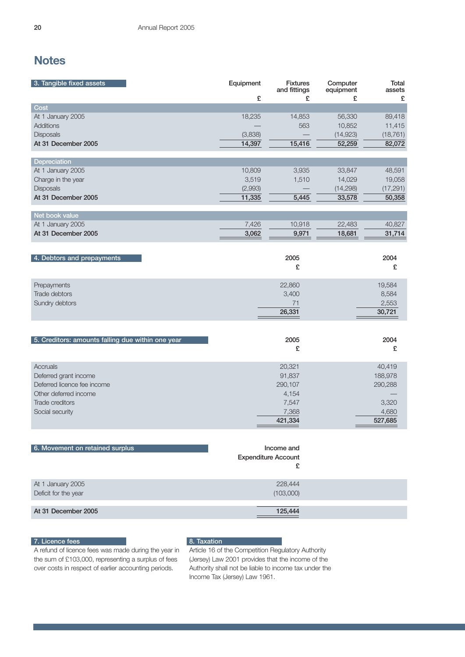### **Notes**

| 3. Tangible fixed assets                                                                                                        | Equipment<br>£                       | <b>Fixtures</b><br>and fittings<br>£                              | Computer<br>equipment<br>£              | Total<br>assets<br>£                                      |
|---------------------------------------------------------------------------------------------------------------------------------|--------------------------------------|-------------------------------------------------------------------|-----------------------------------------|-----------------------------------------------------------|
| Cost                                                                                                                            |                                      |                                                                   |                                         |                                                           |
| At 1 January 2005<br>Additions<br><b>Disposals</b><br>At 31 December 2005                                                       | 18,235<br>(3,838)<br>14,397          | 14,853<br>563<br>15,416                                           | 56,330<br>10,852<br>(14, 923)<br>52,259 | 89,418<br>11,415<br>(18, 761)<br>82,072                   |
| Depreciation                                                                                                                    |                                      |                                                                   |                                         |                                                           |
| At 1 January 2005<br>Charge in the year<br>Disposals<br>At 31 December 2005                                                     | 10,809<br>3,519<br>(2,993)<br>11,335 | 3,935<br>1,510<br>5,445                                           | 33,847<br>14,029<br>(14, 298)<br>33,578 | 48,591<br>19,058<br>(17, 291)<br>50,358                   |
| Net book value                                                                                                                  |                                      |                                                                   |                                         |                                                           |
| At 1 January 2005<br>At 31 December 2005                                                                                        | 7,426<br>3,062                       | 10,918<br>9,971                                                   | 22,483<br>18,681                        | 40,827<br>31,714                                          |
| 4. Debtors and prepayments                                                                                                      |                                      | 2005<br>£                                                         |                                         | 2004<br>£                                                 |
| Prepayments<br>Trade debtors<br>Sundry debtors                                                                                  |                                      | 22,860<br>3,400<br>71<br>26,331                                   |                                         | 19,584<br>8,584<br>2,553<br>30,721                        |
| 5. Creditors: amounts falling due within one year                                                                               |                                      | 2005<br>£                                                         |                                         | 2004<br>£                                                 |
| Accruals<br>Deferred grant income<br>Deferred licence fee income<br>Other deferred income<br>Trade creditors<br>Social security |                                      | 20,321<br>91,837<br>290,107<br>4,154<br>7,547<br>7,368<br>421,334 |                                         | 40,419<br>188,978<br>290,288<br>3,320<br>4,680<br>527,685 |
| 6. Movement on retained surplus                                                                                                 |                                      | Income and<br><b>Expenditure Account</b><br>£                     |                                         |                                                           |
| At 1 January 2005<br>Deficit for the year                                                                                       |                                      | 228,444<br>(103,000)                                              |                                         |                                                           |
| At 31 December 2005                                                                                                             |                                      | 125,444                                                           |                                         |                                                           |

### 7. Licence fees

A refund of licence fees was made during the year in the sum of £103,000, representing a surplus of fees

over costs in respect of earlier accounting periods.

8. Taxation Article 16 of the Competition Regulatory Authority (Jersey) Law 2001 provides that the income of the Authority shall not be liable to income tax under the Income Tax (Jersey) Law 1961.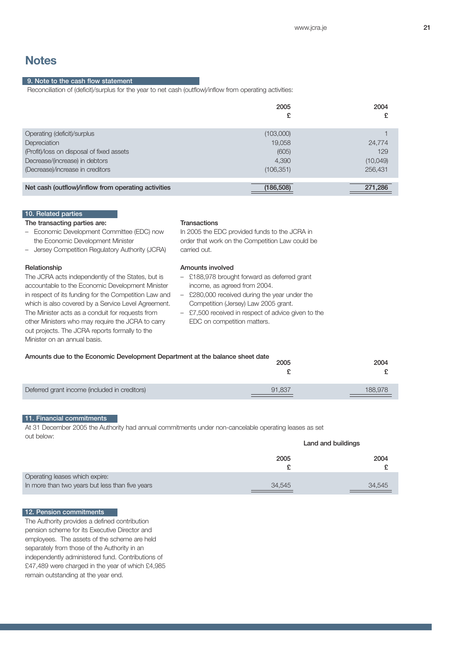### **Notes**

### 9. Note to the cash flow statement

Reconciliation of (deficit)/surplus for the year to net cash (outflow)/inflow from operating activities:

|                                                     | 2005       | 2004<br>£ |
|-----------------------------------------------------|------------|-----------|
| Operating (deficit)/surplus                         | (103,000)  |           |
| Depreciation                                        | 19.058     | 24,774    |
| (Profit)/loss on disposal of fixed assets           | (605)      | 129       |
| Decrease/(increase) in debtors                      | 4,390      | (10,049)  |
| (Decrease)/increase in creditors                    | (106, 351) | 256,431   |
|                                                     |            |           |
| Net cash (outflow)/inflow from operating activities | (186, 508) | 271,286   |

#### 10. Related parties

#### The transacting parties are:

- Economic Development Committee (EDC) now the Economic Development Minister
- Jersey Competition Regulatory Authority (JCRA)

### Relationship

The JCRA acts independently of the States, but is accountable to the Economic Development Minister in respect of its funding for the Competition Law and which is also covered by a Service Level Agreement. The Minister acts as a conduit for requests from other Ministers who may require the JCRA to carry out projects. The JCRA reports formally to the Minister on an annual basis.

### **Transactions**

In 2005 the EDC provided funds to the JCRA in order that work on the Competition Law could be carried out.

### Amounts involved

- £188,978 brought forward as deferred grant income, as agreed from 2004.
- £280,000 received during the year under the Competition (Jersey) Law 2005 grant.
- £7,500 received in respect of advice given to the EDC on competition matters.

### Amounts due to the Economic Development Department at the balance sheet date

|                                               | 2005   | 2004    |
|-----------------------------------------------|--------|---------|
| Deferred grant income (included in creditors) | 91.837 | 188,978 |

### 11. Financial commitments

At 31 December 2005 the Authority had annual commitments under non-cancelable operating leases as set out below: Land and buildings

|                                                 | Lanu anu bunungo |        |
|-------------------------------------------------|------------------|--------|
|                                                 | 2005             | 2004   |
| Operating leases which expire:                  |                  |        |
| In more than two years but less than five years | 34,545           | 34.545 |

### 12. Pension commitments

The Authority provides a defined contribution pension scheme for its Executive Director and employees. The assets of the scheme are held separately from those of the Authority in an independently administered fund. Contributions of £47,489 were charged in the year of which £4,985 remain outstanding at the year end.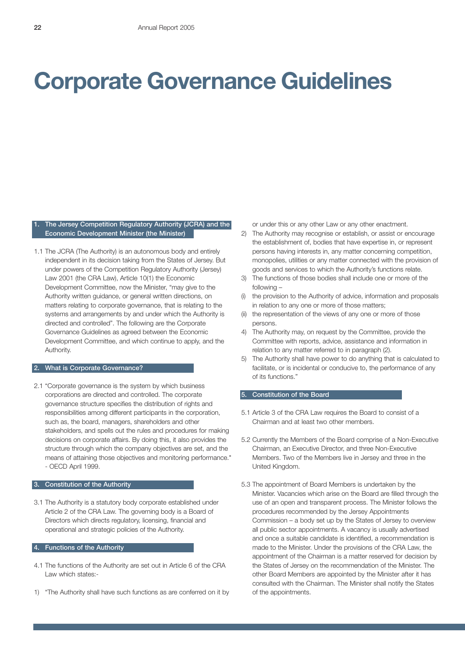## **Corporate Governance Guidelines**

### The Jersey Competition Regulatory Authority (JCRA) and the Economic Development Minister (the Minister)

1.1 The JCRA (The Authority) is an autonomous body and entirely independent in its decision taking from the States of Jersey. But under powers of the Competition Regulatory Authority (Jersey) Law 2001 (the CRA Law), Article 10(1) the Economic Development Committee, now the Minister, "may give to the Authority written guidance, or general written directions, on matters relating to corporate governance, that is relating to the systems and arrangements by and under which the Authority is directed and controlled". The following are the Corporate Governance Guidelines as agreed between the Economic Development Committee, and which continue to apply, and the Authority.

### 2. What is Corporate Governance?

2.1 "Corporate governance is the system by which business corporations are directed and controlled. The corporate governance structure specifies the distribution of rights and responsibilities among different participants in the corporation, such as, the board, managers, shareholders and other stakeholders, and spells out the rules and procedures for making decisions on corporate affairs. By doing this, it also provides the structure through which the company objectives are set, and the means of attaining those objectives and monitoring performance." - OECD April 1999.

### 3. Constitution of the Authority

3.1 The Authority is a statutory body corporate established under Article 2 of the CRA Law. The governing body is a Board of Directors which directs regulatory, licensing, financial and operational and strategic policies of the Authority.

### 4. Functions of the Authority

- 4.1 The functions of the Authority are set out in Article 6 of the CRA Law which states:-
- 1) "The Authority shall have such functions as are conferred on it by

or under this or any other Law or any other enactment.

- 2) The Authority may recognise or establish, or assist or encourage the establishment of, bodies that have expertise in, or represent persons having interests in, any matter concerning competition, monopolies, utilities or any matter connected with the provision of goods and services to which the Authority's functions relate.
- 3) The functions of those bodies shall include one or more of the following –
- (i) the provision to the Authority of advice, information and proposals in relation to any one or more of those matters;
- (ii) the representation of the views of any one or more of those persons.
- 4) The Authority may, on request by the Committee, provide the Committee with reports, advice, assistance and information in relation to any matter referred to in paragraph (2).
- 5) The Authority shall have power to do anything that is calculated to facilitate, or is incidental or conducive to, the performance of any of its functions."

### 5. Constitution of the Board

- 5.1 Article 3 of the CRA Law requires the Board to consist of a Chairman and at least two other members.
- 5.2 Currently the Members of the Board comprise of a Non-Executive Chairman, an Executive Director, and three Non-Executive Members. Two of the Members live in Jersey and three in the United Kingdom.
- 5.3 The appointment of Board Members is undertaken by the Minister. Vacancies which arise on the Board are filled through the use of an open and transparent process. The Minister follows the procedures recommended by the Jersey Appointments Commission – a body set up by the States of Jersey to overview all public sector appointments. A vacancy is usually advertised and once a suitable candidate is identified, a recommendation is made to the Minister. Under the provisions of the CRA Law, the appointment of the Chairman is a matter reserved for decision by the States of Jersey on the recommendation of the Minister. The other Board Members are appointed by the Minister after it has consulted with the Chairman. The Minister shall notify the States of the appointments.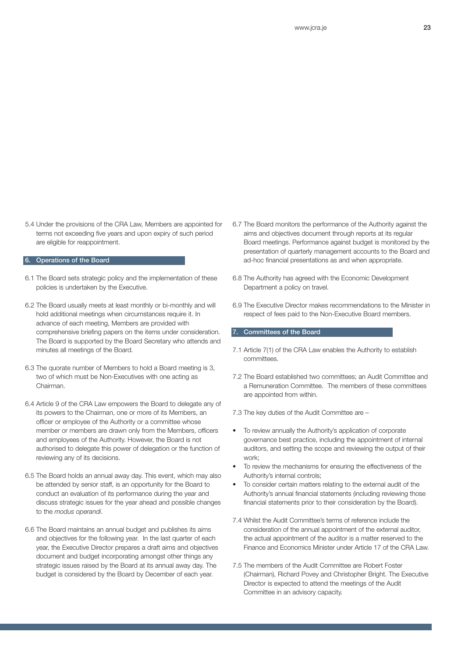5.4 Under the provisions of the CRA Law, Members are appointed for terms not exceeding five years and upon expiry of such period are eligible for reappointment.

### 6. Operations of the Board

- 6.1 The Board sets strategic policy and the implementation of these policies is undertaken by the Executive.
- 6.2 The Board usually meets at least monthly or bi-monthly and will hold additional meetings when circumstances require it. In advance of each meeting, Members are provided with comprehensive briefing papers on the items under consideration. The Board is supported by the Board Secretary who attends and minutes all meetings of the Board.
- 6.3 The quorate number of Members to hold a Board meeting is 3, two of which must be Non-Executives with one acting as Chairman.
- 6.4 Article 9 of the CRA Law empowers the Board to delegate any of its powers to the Chairman, one or more of its Members, an officer or employee of the Authority or a committee whose member or members are drawn only from the Members, officers and employees of the Authority. However, the Board is not authorised to delegate this power of delegation or the function of reviewing any of its decisions.
- 6.5 The Board holds an annual away day. This event, which may also be attended by senior staff, is an opportunity for the Board to conduct an evaluation of its performance during the year and discuss strategic issues for the year ahead and possible changes to the *modus operandi*.
- 6.6 The Board maintains an annual budget and publishes its aims and objectives for the following year. In the last quarter of each year, the Executive Director prepares a draft aims and objectives document and budget incorporating amongst other things any strategic issues raised by the Board at its annual away day. The budget is considered by the Board by December of each year.
- 6.7 The Board monitors the performance of the Authority against the aims and objectives document through reports at its regular Board meetings. Performance against budget is monitored by the presentation of quarterly management accounts to the Board and ad-hoc financial presentations as and when appropriate.
- 6.8 The Authority has agreed with the Economic Development Department a policy on travel.
- 6.9 The Executive Director makes recommendations to the Minister in respect of fees paid to the Non-Executive Board members.

### 7. Committees of the Board

- 7.1 Article 7(1) of the CRA Law enables the Authority to establish committees.
- 7.2 The Board established two committees; an Audit Committee and a Remuneration Committee. The members of these committees are appointed from within.

7.3 The key duties of the Audit Committee are –

- To review annually the Authority's application of corporate governance best practice, including the appointment of internal auditors, and setting the scope and reviewing the output of their work;
- To review the mechanisms for ensuring the effectiveness of the Authority's internal controls;
- To consider certain matters relating to the external audit of the Authority's annual financial statements (including reviewing those financial statements prior to their consideration by the Board).
- 7.4 Whilst the Audit Committee's terms of reference include the consideration of the annual appointment of the external auditor, the actual appointment of the auditor is a matter reserved to the Finance and Economics Minister under Article 17 of the CRA Law.
- 7.5 The members of the Audit Committee are Robert Foster (Chairman), Richard Povey and Christopher Bright. The Executive Director is expected to attend the meetings of the Audit Committee in an advisory capacity.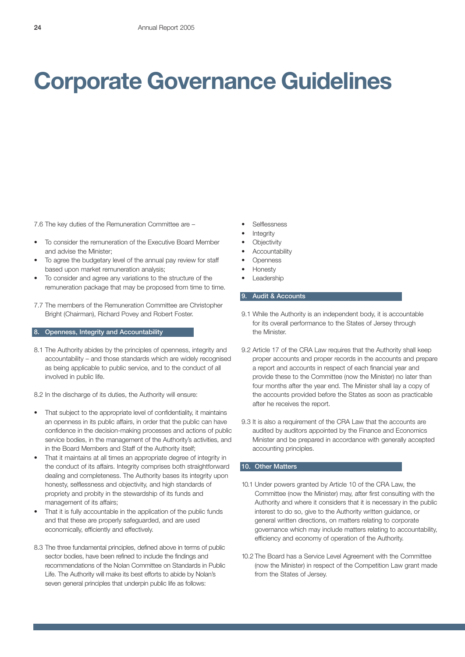## **Corporate Governance Guidelines**

7.6 The key duties of the Remuneration Committee are –

- To consider the remuneration of the Executive Board Member and advise the Minister;
- To agree the budgetary level of the annual pay review for staff based upon market remuneration analysis;
- To consider and agree any variations to the structure of the remuneration package that may be proposed from time to time.
- 7.7 The members of the Remuneration Committee are Christopher Bright (Chairman), Richard Povey and Robert Foster.

### 8. Openness, Integrity and Accountability

8.1 The Authority abides by the principles of openness, integrity and accountability – and those standards which are widely recognised as being applicable to public service, and to the conduct of all involved in public life.

8.2 In the discharge of its duties, the Authority will ensure:

- That subject to the appropriate level of confidentiality, it maintains an openness in its public affairs, in order that the public can have confidence in the decision-making processes and actions of public service bodies, in the management of the Authority's activities, and in the Board Members and Staff of the Authority itself;
- That it maintains at all times an appropriate degree of integrity in the conduct of its affairs. Integrity comprises both straightforward dealing and completeness. The Authority bases its integrity upon honesty, selflessness and objectivity, and high standards of propriety and probity in the stewardship of its funds and management of its affairs;
- That it is fully accountable in the application of the public funds and that these are properly safeguarded, and are used economically, efficiently and effectively.
- 8.3 The three fundamental principles, defined above in terms of public sector bodies, have been refined to include the findings and recommendations of the Nolan Committee on Standards in Public Life. The Authority will make its best efforts to abide by Nolan's seven general principles that underpin public life as follows:
- **Selflessness**
- **Integrity**
- **Objectivity**
- **Accountability**
- **Openness**
- Honesty
- **Leadership**

### 9. Audit & Accounts

- 9.1 While the Authority is an independent body, it is accountable for its overall performance to the States of Jersey through the Minister.
- 9.2 Article 17 of the CRA Law requires that the Authority shall keep proper accounts and proper records in the accounts and prepare a report and accounts in respect of each financial year and provide these to the Committee (now the Minister) no later than four months after the year end. The Minister shall lay a copy of the accounts provided before the States as soon as practicable after he receives the report.
- 9.3 It is also a requirement of the CRA Law that the accounts are audited by auditors appointed by the Finance and Economics Minister and be prepared in accordance with generally accepted accounting principles.

### 10. Other Matters

- 10.1 Under powers granted by Article 10 of the CRA Law, the Committee (now the Minister) may, after first consulting with the Authority and where it considers that it is necessary in the public interest to do so, give to the Authority written guidance, or general written directions, on matters relating to corporate governance which may include matters relating to accountability, efficiency and economy of operation of the Authority.
- 10.2 The Board has a Service Level Agreement with the Committee (now the Minister) in respect of the Competition Law grant made from the States of Jersey.